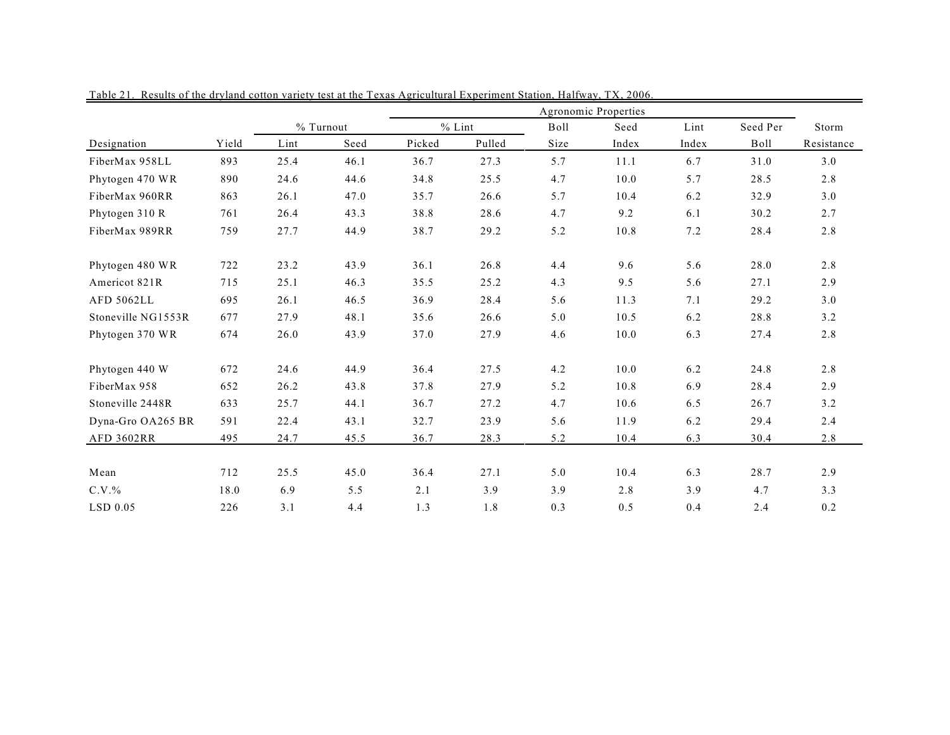|                    |       |      |           | Agronomic Properties |        |      |       |       |          |            |  |  |
|--------------------|-------|------|-----------|----------------------|--------|------|-------|-------|----------|------------|--|--|
|                    |       |      | % Turnout | $%$ Lint             |        | Boll | Seed  | Lint  | Seed Per | Storm      |  |  |
| Designation        | Yield | Lint | Seed      | Picked               | Pulled | Size | Index | Index | Boll     | Resistance |  |  |
| FiberMax 958LL     | 893   | 25.4 | 46.1      | 36.7                 | 27.3   | 5.7  | 11.1  | 6.7   | 31.0     | 3.0        |  |  |
| Phytogen 470 WR    | 890   | 24.6 | 44.6      | 34.8                 | 25.5   | 4.7  | 10.0  | 5.7   | 28.5     | 2.8        |  |  |
| FiberMax 960RR     | 863   | 26.1 | 47.0      | 35.7                 | 26.6   | 5.7  | 10.4  | 6.2   | 32.9     | 3.0        |  |  |
| Phytogen 310 R     | 761   | 26.4 | 43.3      | 38.8                 | 28.6   | 4.7  | 9.2   | 6.1   | 30.2     | 2.7        |  |  |
| FiberMax 989RR     | 759   | 27.7 | 44.9      | 38.7                 | 29.2   | 5.2  | 10.8  | 7.2   | 28.4     | 2.8        |  |  |
| Phytogen 480 WR    | 722   | 23.2 | 43.9      | 36.1                 | 26.8   | 4.4  | 9.6   | 5.6   | 28.0     | 2.8        |  |  |
| Americot 821R      | 715   | 25.1 | 46.3      | 35.5                 | 25.2   | 4.3  | 9.5   | 5.6   | 27.1     | 2.9        |  |  |
| <b>AFD 5062LL</b>  | 695   | 26.1 | 46.5      | 36.9                 | 28.4   | 5.6  | 11.3  | 7.1   | 29.2     | 3.0        |  |  |
| Stoneville NG1553R | 677   | 27.9 | 48.1      | 35.6                 | 26.6   | 5.0  | 10.5  | 6.2   | 28.8     | 3.2        |  |  |
| Phytogen 370 WR    | 674   | 26.0 | 43.9      | 37.0                 | 27.9   | 4.6  | 10.0  | 6.3   | 27.4     | 2.8        |  |  |
| Phytogen 440 W     | 672   | 24.6 | 44.9      | 36.4                 | 27.5   | 4.2  | 10.0  | 6.2   | 24.8     | 2.8        |  |  |
| FiberMax 958       | 652   | 26.2 | 43.8      | 37.8                 | 27.9   | 5.2  | 10.8  | 6.9   | 28.4     | 2.9        |  |  |
| Stoneville 2448R   | 633   | 25.7 | 44.1      | 36.7                 | 27.2   | 4.7  | 10.6  | 6.5   | 26.7     | 3.2        |  |  |
| Dyna-Gro OA265 BR  | 591   | 22.4 | 43.1      | 32.7                 | 23.9   | 5.6  | 11.9  | 6.2   | 29.4     | 2.4        |  |  |
| AFD 3602RR         | 495   | 24.7 | 45.5      | 36.7                 | 28.3   | 5.2  | 10.4  | 6.3   | 30.4     | 2.8        |  |  |
| Mean               | 712   | 25.5 | 45.0      | 36.4                 | 27.1   | 5.0  | 10.4  | 6.3   | 28.7     | 2.9        |  |  |
| $C.V.$ %           | 18.0  | 6.9  | 5.5       | 2.1                  | 3.9    | 3.9  | 2.8   | 3.9   | 4.7      | 3.3        |  |  |
| $LSD$ 0.05         | 226   | 3.1  | 4.4       | 1.3                  | 1.8    | 0.3  | 0.5   | 0.4   | 2.4      | 0.2        |  |  |

Table 21. Results of the dryland cotton variety test at the Texas Agricultural Experiment Station, Halfway, TX, 2006.